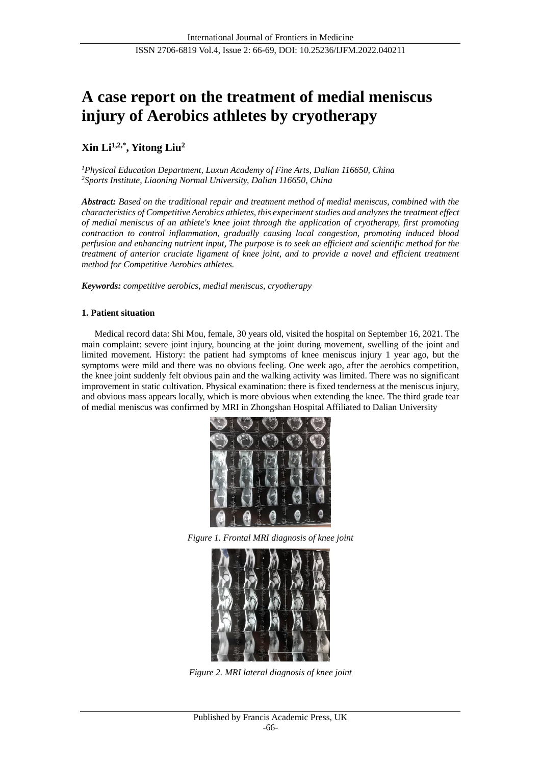# **A case report on the treatment of medial meniscus injury of Aerobics athletes by cryotherapy**

# **Xin Li1,2,\* , Yitong Liu<sup>2</sup>**

*<sup>1</sup>Physical Education Department, Luxun Academy of Fine Arts, Dalian 116650, China <sup>2</sup>Sports Institute, Liaoning Normal University, Dalian 116650, China*

*Abstract: Based on the traditional repair and treatment method of medial meniscus, combined with the characteristics of Competitive Aerobics athletes, this experiment studies and analyzes the treatment effect of medial meniscus of an athlete's knee joint through the application of cryotherapy, first promoting contraction to control inflammation, gradually causing local congestion, promoting induced blood perfusion and enhancing nutrient input, The purpose is to seek an efficient and scientific method for the treatment of anterior cruciate ligament of knee joint, and to provide a novel and efficient treatment method for Competitive Aerobics athletes.*

*Keywords: competitive aerobics, medial meniscus, cryotherapy*

## **1. Patient situation**

Medical record data: Shi Mou, female, 30 years old, visited the hospital on September 16, 2021. The main complaint: severe joint injury, bouncing at the joint during movement, swelling of the joint and limited movement. History: the patient had symptoms of knee meniscus injury 1 year ago, but the symptoms were mild and there was no obvious feeling. One week ago, after the aerobics competition, the knee joint suddenly felt obvious pain and the walking activity was limited. There was no significant improvement in static cultivation. Physical examination: there is fixed tenderness at the meniscus injury, and obvious mass appears locally, which is more obvious when extending the knee. The third grade tear of medial meniscus was confirmed by MRI in Zhongshan Hospital Affiliated to Dalian University







*Figure 2. MRI lateral diagnosis of knee joint*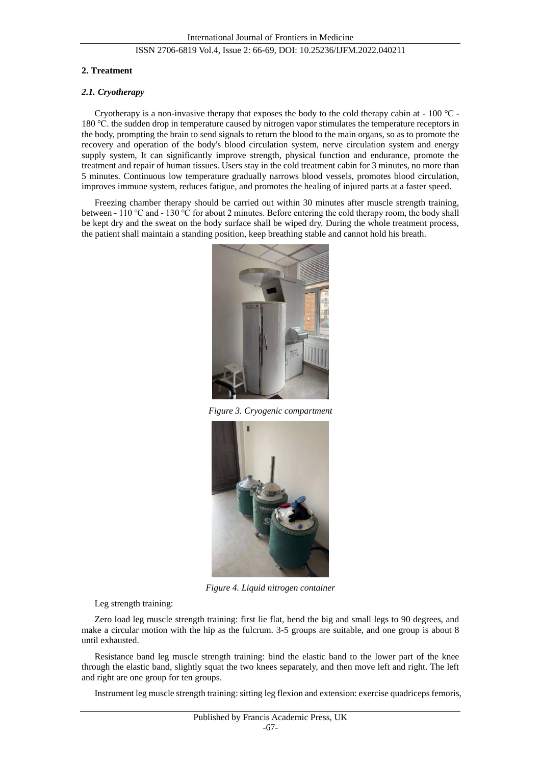## ISSN 2706-6819 Vol.4, Issue 2: 66-69, DOI: 10.25236/IJFM.2022.040211

#### **2. Treatment**

#### *2.1. Cryotherapy*

Cryotherapy is a non-invasive therapy that exposes the body to the cold therapy cabin at - 100 ℃ - 180 ℃. the sudden drop in temperature caused by nitrogen vapor stimulates the temperature receptors in the body, prompting the brain to send signals to return the blood to the main organs, so as to promote the recovery and operation of the body's blood circulation system, nerve circulation system and energy supply system, It can significantly improve strength, physical function and endurance, promote the treatment and repair of human tissues. Users stay in the cold treatment cabin for 3 minutes, no more than 5 minutes. Continuous low temperature gradually narrows blood vessels, promotes blood circulation, improves immune system, reduces fatigue, and promotes the healing of injured parts at a faster speed.

Freezing chamber therapy should be carried out within 30 minutes after muscle strength training, between - 110 ℃ and - 130 ℃ for about 2 minutes. Before entering the cold therapy room, the body shall be kept dry and the sweat on the body surface shall be wiped dry. During the whole treatment process, the patient shall maintain a standing position, keep breathing stable and cannot hold his breath.



*Figure 3. Cryogenic compartment*



*Figure 4. Liquid nitrogen container*

Leg strength training:

Zero load leg muscle strength training: first lie flat, bend the big and small legs to 90 degrees, and make a circular motion with the hip as the fulcrum. 3-5 groups are suitable, and one group is about 8 until exhausted.

Resistance band leg muscle strength training: bind the elastic band to the lower part of the knee through the elastic band, slightly squat the two knees separately, and then move left and right. The left and right are one group for ten groups.

Instrument leg muscle strength training: sitting leg flexion and extension: exercise quadriceps femoris,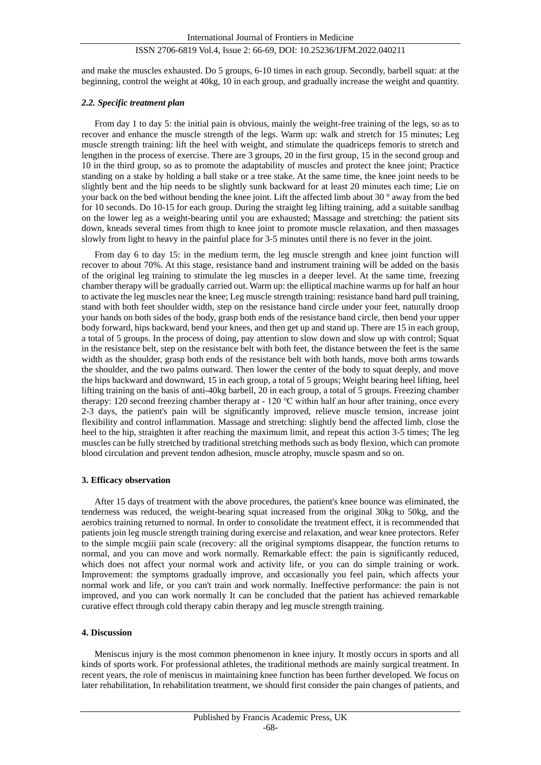#### ISSN 2706-6819 Vol.4, Issue 2: 66-69, DOI: 10.25236/IJFM.2022.040211

and make the muscles exhausted. Do 5 groups, 6-10 times in each group. Secondly, barbell squat: at the beginning, control the weight at 40kg, 10 in each group, and gradually increase the weight and quantity.

#### *2.2. Specific treatment plan*

From day 1 to day 5: the initial pain is obvious, mainly the weight-free training of the legs, so as to recover and enhance the muscle strength of the legs. Warm up: walk and stretch for 15 minutes; Leg muscle strength training: lift the heel with weight, and stimulate the quadriceps femoris to stretch and lengthen in the process of exercise. There are 3 groups, 20 in the first group, 15 in the second group and 10 in the third group, so as to promote the adaptability of muscles and protect the knee joint; Practice standing on a stake by holding a ball stake or a tree stake. At the same time, the knee joint needs to be slightly bent and the hip needs to be slightly sunk backward for at least 20 minutes each time; Lie on your back on the bed without bending the knee joint. Lift the affected limb about 30 ° away from the bed for 10 seconds. Do 10-15 for each group. During the straight leg lifting training, add a suitable sandbag on the lower leg as a weight-bearing until you are exhausted; Massage and stretching: the patient sits down, kneads several times from thigh to knee joint to promote muscle relaxation, and then massages slowly from light to heavy in the painful place for 3-5 minutes until there is no fever in the joint.

From day 6 to day 15: in the medium term, the leg muscle strength and knee joint function will recover to about 70%. At this stage, resistance band and instrument training will be added on the basis of the original leg training to stimulate the leg muscles in a deeper level. At the same time, freezing chamber therapy will be gradually carried out. Warm up: the elliptical machine warms up for half an hour to activate the leg muscles near the knee; Leg muscle strength training: resistance band hard pull training, stand with both feet shoulder width, step on the resistance band circle under your feet, naturally droop your hands on both sides of the body, grasp both ends of the resistance band circle, then bend your upper body forward, hips backward, bend your knees, and then get up and stand up. There are 15 in each group, a total of 5 groups. In the process of doing, pay attention to slow down and slow up with control; Squat in the resistance belt, step on the resistance belt with both feet, the distance between the feet is the same width as the shoulder, grasp both ends of the resistance belt with both hands, move both arms towards the shoulder, and the two palms outward. Then lower the center of the body to squat deeply, and move the hips backward and downward, 15 in each group, a total of 5 groups; Weight bearing heel lifting, heel lifting training on the basis of anti-40kg barbell, 20 in each group, a total of 5 groups. Freezing chamber therapy: 120 second freezing chamber therapy at - 120 ℃ within half an hour after training, once every 2-3 days, the patient's pain will be significantly improved, relieve muscle tension, increase joint flexibility and control inflammation. Massage and stretching: slightly bend the affected limb, close the heel to the hip, straighten it after reaching the maximum limit, and repeat this action 3-5 times; The leg muscles can be fully stretched by traditional stretching methods such as body flexion, which can promote blood circulation and prevent tendon adhesion, muscle atrophy, muscle spasm and so on.

#### **3. Efficacy observation**

After 15 days of treatment with the above procedures, the patient's knee bounce was eliminated, the tenderness was reduced, the weight-bearing squat increased from the original 30kg to 50kg, and the aerobics training returned to normal. In order to consolidate the treatment effect, it is recommended that patients join leg muscle strength training during exercise and relaxation, and wear knee protectors. Refer to the simple mcgiii pain scale (recovery: all the original symptoms disappear, the function returns to normal, and you can move and work normally. Remarkable effect: the pain is significantly reduced, which does not affect your normal work and activity life, or you can do simple training or work. Improvement: the symptoms gradually improve, and occasionally you feel pain, which affects your normal work and life, or you can't train and work normally. Ineffective performance: the pain is not improved, and you can work normally It can be concluded that the patient has achieved remarkable curative effect through cold therapy cabin therapy and leg muscle strength training.

#### **4. Discussion**

Meniscus injury is the most common phenomenon in knee injury. It mostly occurs in sports and all kinds of sports work. For professional athletes, the traditional methods are mainly surgical treatment. In recent years, the role of meniscus in maintaining knee function has been further developed. We focus on later rehabilitation, In rehabilitation treatment, we should first consider the pain changes of patients, and